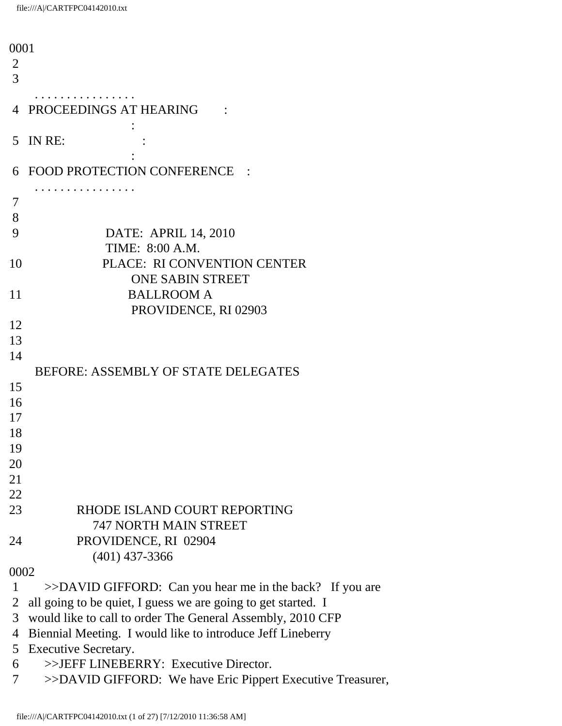| 0001 |                                                               |
|------|---------------------------------------------------------------|
| 2    |                                                               |
| 3    |                                                               |
|      |                                                               |
| 4    | PROCEEDINGS AT HEARING                                        |
|      |                                                               |
| 5    | IN RE:                                                        |
|      |                                                               |
| 6    | FOOD PROTECTION CONFERENCE<br>$\sim$ 1                        |
|      |                                                               |
| 7    |                                                               |
| 8    |                                                               |
|      |                                                               |
| 9    | DATE: APRIL 14, 2010                                          |
|      | TIME: 8:00 A.M.                                               |
| 10   | PLACE: RI CONVENTION CENTER                                   |
|      | <b>ONE SABIN STREET</b>                                       |
| 11   | <b>BALLROOM A</b>                                             |
|      | PROVIDENCE, RI 02903                                          |
| 12   |                                                               |
| 13   |                                                               |
| 14   |                                                               |
|      | <b>BEFORE: ASSEMBLY OF STATE DELEGATES</b>                    |
| 15   |                                                               |
| 16   |                                                               |
| 17   |                                                               |
| 18   |                                                               |
| 19   |                                                               |
| 20   |                                                               |
| 21   |                                                               |
| 22   |                                                               |
| 23   | RHODE ISLAND COURT REPORTING                                  |
|      | <b>747 NORTH MAIN STREET</b>                                  |
|      |                                                               |
| 24   | PROVIDENCE, RI 02904                                          |
|      | $(401)$ 437-3366                                              |
| 0002 |                                                               |
| 1    | $>>$ DAVID GIFFORD: Can you hear me in the back? If you are   |
| 2    | all going to be quiet, I guess we are going to get started. I |
| 3    | would like to call to order The General Assembly, 2010 CFP    |
| 4    | Biennial Meeting. I would like to introduce Jeff Lineberry    |
| 5    | <b>Executive Secretary.</b>                                   |
| 6    | >>JEFF LINEBERRY: Executive Director.                         |
| 7    | >>DAVID GIFFORD: We have Eric Pippert Executive Treasurer,    |
|      |                                                               |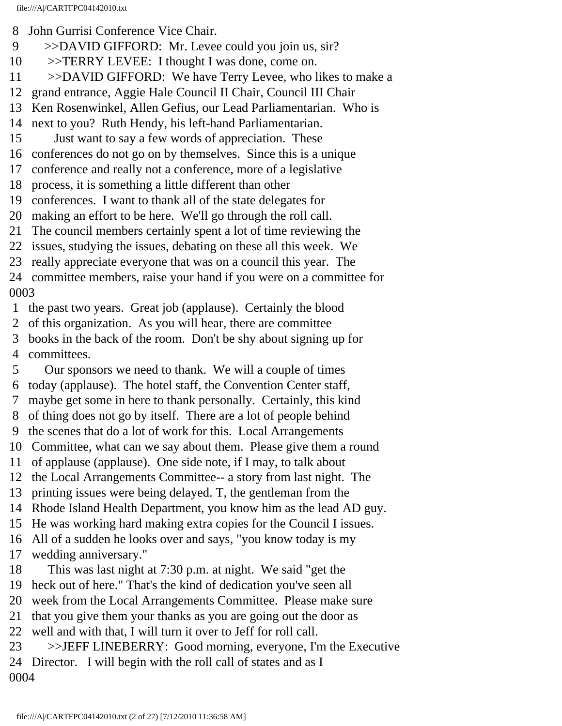- 8 John Gurrisi Conference Vice Chair.
- 9 >>DAVID GIFFORD: Mr. Levee could you join us, sir?
- 10 >>TERRY LEVEE: I thought I was done, come on.
- 11 >>DAVID GIFFORD: We have Terry Levee, who likes to make a
- 12 grand entrance, Aggie Hale Council II Chair, Council III Chair
- 13 Ken Rosenwinkel, Allen Gefius, our Lead Parliamentarian. Who is
- 14 next to you? Ruth Hendy, his left-hand Parliamentarian.
- 15 Just want to say a few words of appreciation. These
- 16 conferences do not go on by themselves. Since this is a unique
- 17 conference and really not a conference, more of a legislative
- 18 process, it is something a little different than other
- 19 conferences. I want to thank all of the state delegates for
- 20 making an effort to be here. We'll go through the roll call.
- 21 The council members certainly spent a lot of time reviewing the
- 22 issues, studying the issues, debating on these all this week. We
- 23 really appreciate everyone that was on a council this year. The
- 24 committee members, raise your hand if you were on a committee for 0003
- 1 the past two years. Great job (applause). Certainly the blood
- 2 of this organization. As you will hear, there are committee
- 3 books in the back of the room. Don't be shy about signing up for
- 4 committees.
- 5 Our sponsors we need to thank. We will a couple of times 6 today (applause). The hotel staff, the Convention Center staff,
- 7 maybe get some in here to thank personally. Certainly, this kind
- 8 of thing does not go by itself. There are a lot of people behind
- 9 the scenes that do a lot of work for this. Local Arrangements
- 10 Committee, what can we say about them. Please give them a round
- 11 of applause (applause). One side note, if I may, to talk about
- 12 the Local Arrangements Committee-- a story from last night. The
- 13 printing issues were being delayed. T, the gentleman from the
- 14 Rhode Island Health Department, you know him as the lead AD guy.
- 15 He was working hard making extra copies for the Council I issues.
- 16 All of a sudden he looks over and says, "you know today is my
- 17 wedding anniversary."
- 18 This was last night at 7:30 p.m. at night. We said "get the
- 19 heck out of here." That's the kind of dedication you've seen all
- 20 week from the Local Arrangements Committee. Please make sure
- 21 that you give them your thanks as you are going out the door as
- 22 well and with that, I will turn it over to Jeff for roll call.
- 23 >>JEFF LINEBERRY: Good morning, everyone, I'm the Executive 24 Director. I will begin with the roll call of states and as I 0004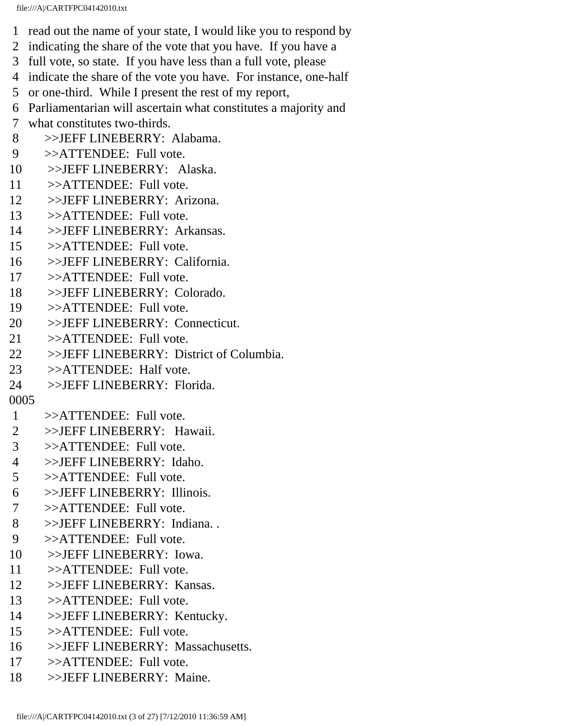- 1 read out the name of your state, I would like you to respond by
- 2 indicating the share of the vote that you have. If you have a
- 3 full vote, so state. If you have less than a full vote, please
- 4 indicate the share of the vote you have. For instance, one-half
- 5 or one-third. While I present the rest of my report,
- 6 Parliamentarian will ascertain what constitutes a majority and
- 7 what constitutes two-thirds.
- 8 >>JEFF LINEBERRY: Alabama.
- 9 >>ATTENDEE: Full vote.
- 10 >>JEFF LINEBERRY: Alaska.
- 11 >>ATTENDEE: Full vote.
- 12 >>JEFF LINEBERRY: Arizona.
- 13 >>ATTENDEE: Full vote.
- 14 >>JEFF LINEBERRY: Arkansas.
- 15 >>ATTENDEE: Full vote.
- 16 >>JEFF LINEBERRY: California.
- 17 >>ATTENDEE: Full vote.
- 18 >>JEFF LINEBERRY: Colorado.
- 19 >>ATTENDEE: Full vote.
- 20 >>JEFF LINEBERRY: Connecticut.
- 21 >>ATTENDEE: Full vote.
- 22 >>JEFF LINEBERRY: District of Columbia.
- 23 >>ATTENDEE: Half vote.
- 24 >>JEFF LINEBERRY: Florida.
- 0005
- 1 >>ATTENDEE: Full vote.
- 2 >>JEFF LINEBERRY: Hawaii.
- 3 >>ATTENDEE: Full vote.
- 4 >>JEFF LINEBERRY: Idaho.
- 5 >>ATTENDEE: Full vote.
- 6 >>JEFF LINEBERRY: Illinois.
- 7 >>ATTENDEE: Full vote.
- 8 >>JEFF LINEBERRY: Indiana. .
- 9 >>ATTENDEE: Full vote.
- 10 >>JEFF LINEBERRY: Iowa.
- 11 >>ATTENDEE: Full vote.
- 12 >>JEFF LINEBERRY: Kansas.
- 13 >>ATTENDEE: Full vote.
- 14 >>JEFF LINEBERRY: Kentucky.
- 15 >>ATTENDEE: Full vote.
- 16 >>JEFF LINEBERRY: Massachusetts.
- 17 >>ATTENDEE: Full vote.
- 18 >>JEFF LINEBERRY: Maine.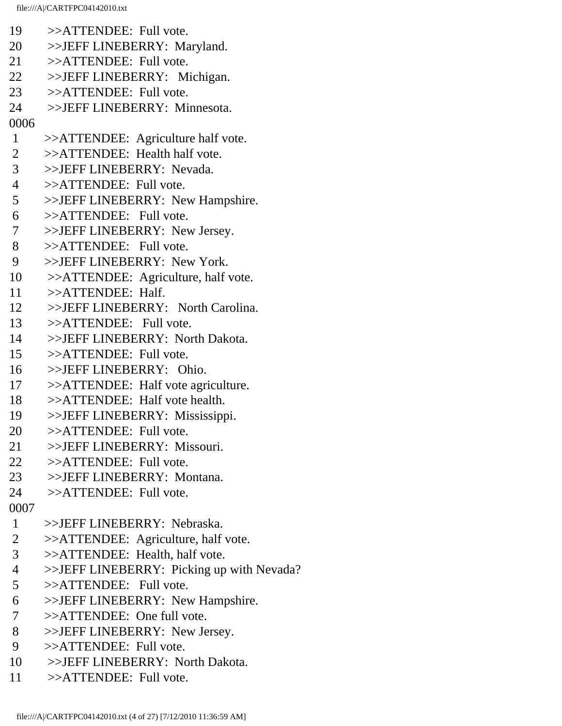- 19 >>ATTENDEE: Full vote. 20 >>JEFF LINEBERRY: Maryland. 21 >>ATTENDEE: Full vote. 22 >>JEFF LINEBERRY: Michigan. 23 >>ATTENDEE: Full vote. 24 >>JEFF LINEBERRY: Minnesota. 0006 1 >>ATTENDEE: Agriculture half vote. 2 >>ATTENDEE: Health half vote. 3 >>JEFF LINEBERRY: Nevada. 4 >>ATTENDEE: Full vote. 5 >>JEFF LINEBERRY: New Hampshire. 6 >>ATTENDEE: Full vote. 7 >>JEFF LINEBERRY: New Jersey. 8 >>ATTENDEE: Full vote. 9 >>JEFF LINEBERRY: New York. 10 >>ATTENDEE: Agriculture, half vote. 11 >>ATTENDEE: Half. 12 >>JEFF LINEBERRY: North Carolina. 13 >>ATTENDEE: Full vote. 14 >>JEFF LINEBERRY: North Dakota. 15 >>ATTENDEE: Full vote. 16 >>JEFF LINEBERRY: Ohio. 17 >>ATTENDEE: Half vote agriculture. 18 >>ATTENDEE: Half vote health. 19 >>JEFF LINEBERRY: Mississippi. 20 >>ATTENDEE: Full vote. 21 >>JEFF LINEBERRY: Missouri. 22 >>ATTENDEE: Full vote. 23 >>JEFF LINEBERRY: Montana. 24 >>ATTENDEE: Full vote. 0007 1 >>JEFF LINEBERRY: Nebraska. 2 >>ATTENDEE: Agriculture, half vote. 3 >>ATTENDEE: Health, half vote. 4 >>JEFF LINEBERRY: Picking up with Nevada? 5 >>ATTENDEE: Full vote. 6 >>JEFF LINEBERRY: New Hampshire. 7 >>ATTENDEE: One full vote. 8 >>JEFF LINEBERRY: New Jersey. 9 >>ATTENDEE: Full vote. 10 >>JEFF LINEBERRY: North Dakota.
- 11 >>ATTENDEE: Full vote.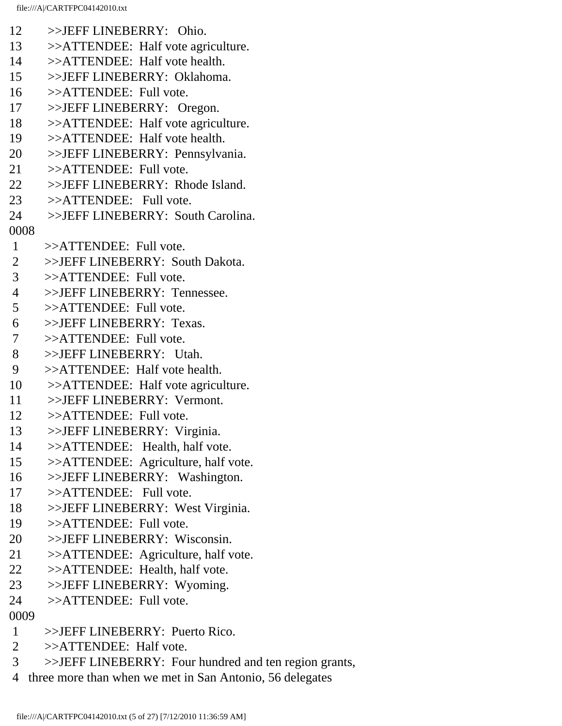- file:///A|/CARTFPC04142010.txt 12 >>JEFF LINEBERRY: Ohio. 13 >>ATTENDEE: Half vote agriculture. 14 >>ATTENDEE: Half vote health. 15 >>JEFF LINEBERRY: Oklahoma. 16 >>ATTENDEE: Full vote. 17 >>JEFF LINEBERRY: Oregon. 18 >>ATTENDEE: Half vote agriculture. 19 >>ATTENDEE: Half vote health. 20 >>JEFF LINEBERRY: Pennsylvania. 21 >>ATTENDEE: Full vote. 22 >>JEFF LINEBERRY: Rhode Island. 23 >>ATTENDEE: Full vote. 24 >>JEFF LINEBERRY: South Carolina. 0008 1 >>ATTENDEE: Full vote. 2 >>JEFF LINEBERRY: South Dakota. 3 >>ATTENDEE: Full vote. 4 >>JEFF LINEBERRY: Tennessee. 5 >>ATTENDEE: Full vote. 6 >>JEFF LINEBERRY: Texas. 7 >>ATTENDEE: Full vote. 8 >>JEFF LINEBERRY: Utah. 9 >>ATTENDEE: Half vote health. 10 >>ATTENDEE: Half vote agriculture. 11 >>JEFF LINEBERRY: Vermont. 12 >>ATTENDEE: Full vote. 13 >>JEFF LINEBERRY: Virginia. 14 >>ATTENDEE: Health, half vote. 15 >>ATTENDEE: Agriculture, half vote. 16 >>JEFF LINEBERRY: Washington. 17 >>ATTENDEE: Full vote. 18 >>JEFF LINEBERRY: West Virginia. 19 >>ATTENDEE: Full vote. 20 >>JEFF LINEBERRY: Wisconsin. 21 >>ATTENDEE: Agriculture, half vote. 22 >>ATTENDEE: Health, half vote. 23 >>JEFF LINEBERRY: Wyoming. 24 >>ATTENDEE: Full vote. 0009
- 1 >>JEFF LINEBERRY: Puerto Rico.
- 2 >>ATTENDEE: Half vote.
- 3 >>JEFF LINEBERRY: Four hundred and ten region grants,
- 4 three more than when we met in San Antonio, 56 delegates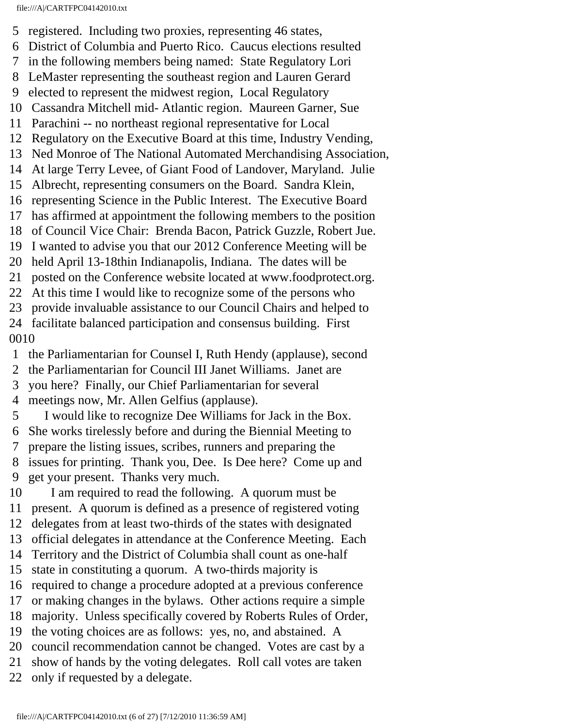- 5 registered. Including two proxies, representing 46 states,
- 6 District of Columbia and Puerto Rico. Caucus elections resulted
- 7 in the following members being named: State Regulatory Lori
- 8 LeMaster representing the southeast region and Lauren Gerard
- 9 elected to represent the midwest region, Local Regulatory
- 10 Cassandra Mitchell mid- Atlantic region. Maureen Garner, Sue
- 11 Parachini -- no northeast regional representative for Local
- 12 Regulatory on the Executive Board at this time, Industry Vending,
- 13 Ned Monroe of The National Automated Merchandising Association,
- 14 At large Terry Levee, of Giant Food of Landover, Maryland. Julie
- 15 Albrecht, representing consumers on the Board. Sandra Klein,
- 16 representing Science in the Public Interest. The Executive Board
- 17 has affirmed at appointment the following members to the position
- 18 of Council Vice Chair: Brenda Bacon, Patrick Guzzle, Robert Jue.
- 19 I wanted to advise you that our 2012 Conference Meeting will be
- 20 held April 13-18thin Indianapolis, Indiana. The dates will be
- 21 posted on the Conference website located at www.foodprotect.org.
- 22 At this time I would like to recognize some of the persons who
- 23 provide invaluable assistance to our Council Chairs and helped to
- 24 facilitate balanced participation and consensus building. First 0010
- 1 the Parliamentarian for Counsel I, Ruth Hendy (applause), second
- 2 the Parliamentarian for Council III Janet Williams. Janet are
- 3 you here? Finally, our Chief Parliamentarian for several
- 4 meetings now, Mr. Allen Gelfius (applause).
- 5 I would like to recognize Dee Williams for Jack in the Box.
- 6 She works tirelessly before and during the Biennial Meeting to
- 7 prepare the listing issues, scribes, runners and preparing the
- 8 issues for printing. Thank you, Dee. Is Dee here? Come up and 9 get your present. Thanks very much.
- 10 I am required to read the following. A quorum must be
- 11 present. A quorum is defined as a presence of registered voting
- 12 delegates from at least two-thirds of the states with designated
- 13 official delegates in attendance at the Conference Meeting. Each
- 14 Territory and the District of Columbia shall count as one-half
- 15 state in constituting a quorum. A two-thirds majority is
- 16 required to change a procedure adopted at a previous conference
- 17 or making changes in the bylaws. Other actions require a simple
- 18 majority. Unless specifically covered by Roberts Rules of Order,
- 19 the voting choices are as follows: yes, no, and abstained. A
- 20 council recommendation cannot be changed. Votes are cast by a
- 21 show of hands by the voting delegates. Roll call votes are taken
- 22 only if requested by a delegate.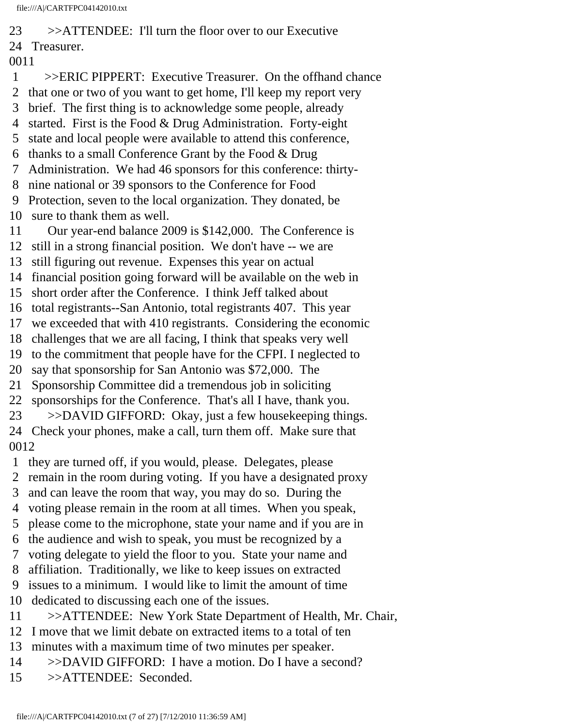23 >>ATTENDEE: I'll turn the floor over to our Executive 24 Treasurer.

0011

 1 >>ERIC PIPPERT: Executive Treasurer. On the offhand chance 2 that one or two of you want to get home, I'll keep my report very 3 brief. The first thing is to acknowledge some people, already 4 started. First is the Food & Drug Administration. Forty-eight 5 state and local people were available to attend this conference, 6 thanks to a small Conference Grant by the Food  $& Drug$  7 Administration. We had 46 sponsors for this conference: thirty- 8 nine national or 39 sponsors to the Conference for Food 9 Protection, seven to the local organization. They donated, be 10 sure to thank them as well. 11 Our year-end balance 2009 is \$142,000. The Conference is 12 still in a strong financial position. We don't have -- we are 13 still figuring out revenue. Expenses this year on actual 14 financial position going forward will be available on the web in 15 short order after the Conference. I think Jeff talked about 16 total registrants--San Antonio, total registrants 407. This year 17 we exceeded that with 410 registrants. Considering the economic 18 challenges that we are all facing, I think that speaks very well 19 to the commitment that people have for the CFPI. I neglected to 20 say that sponsorship for San Antonio was \$72,000. The 21 Sponsorship Committee did a tremendous job in soliciting 22 sponsorships for the Conference. That's all I have, thank you. 23 >>DAVID GIFFORD: Okay, just a few housekeeping things. 24 Check your phones, make a call, turn them off. Make sure that 0012 1 they are turned off, if you would, please. Delegates, please 2 remain in the room during voting. If you have a designated proxy 3 and can leave the room that way, you may do so. During the 4 voting please remain in the room at all times. When you speak, 5 please come to the microphone, state your name and if you are in 6 the audience and wish to speak, you must be recognized by a 7 voting delegate to yield the floor to you. State your name and 8 affiliation. Traditionally, we like to keep issues on extracted 9 issues to a minimum. I would like to limit the amount of time 10 dedicated to discussing each one of the issues. 11 >>ATTENDEE: New York State Department of Health, Mr. Chair,

- 12 I move that we limit debate on extracted items to a total of ten
- 13 minutes with a maximum time of two minutes per speaker.
- 14 >>DAVID GIFFORD: I have a motion. Do I have a second?
- 15 >>ATTENDEE: Seconded.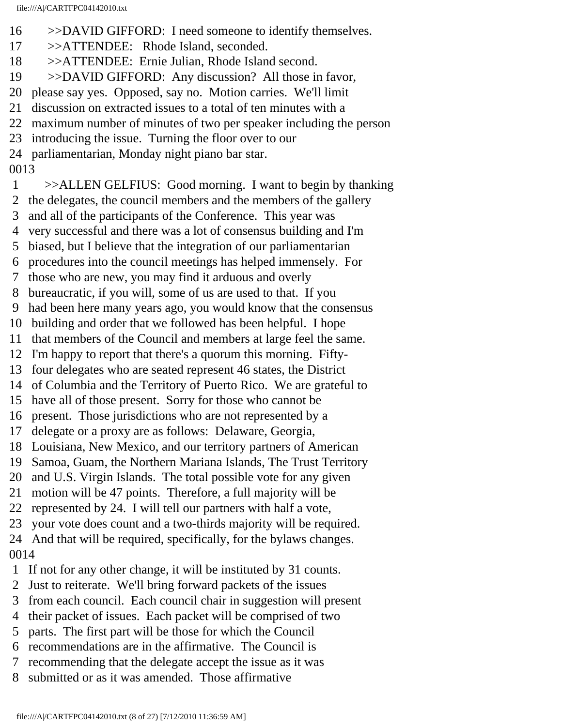- 16 >>DAVID GIFFORD: I need someone to identify themselves.
- 17 >>ATTENDEE: Rhode Island, seconded.
- 18 >>ATTENDEE: Ernie Julian, Rhode Island second.
- 19 >>DAVID GIFFORD: Any discussion? All those in favor,
- 20 please say yes. Opposed, say no. Motion carries. We'll limit
- 21 discussion on extracted issues to a total of ten minutes with a
- 22 maximum number of minutes of two per speaker including the person
- 23 introducing the issue. Turning the floor over to our
- 24 parliamentarian, Monday night piano bar star.

0013

- 1 >>ALLEN GELFIUS: Good morning. I want to begin by thanking
- 2 the delegates, the council members and the members of the gallery
- 3 and all of the participants of the Conference. This year was
- 4 very successful and there was a lot of consensus building and I'm
- 5 biased, but I believe that the integration of our parliamentarian
- 6 procedures into the council meetings has helped immensely. For
- 7 those who are new, you may find it arduous and overly
- 8 bureaucratic, if you will, some of us are used to that. If you
- 9 had been here many years ago, you would know that the consensus
- 10 building and order that we followed has been helpful. I hope
- 11 that members of the Council and members at large feel the same.
- 12 I'm happy to report that there's a quorum this morning. Fifty-
- 13 four delegates who are seated represent 46 states, the District
- 14 of Columbia and the Territory of Puerto Rico. We are grateful to
- 15 have all of those present. Sorry for those who cannot be
- 16 present. Those jurisdictions who are not represented by a
- 17 delegate or a proxy are as follows: Delaware, Georgia,
- 18 Louisiana, New Mexico, and our territory partners of American
- 19 Samoa, Guam, the Northern Mariana Islands, The Trust Territory
- 20 and U.S. Virgin Islands. The total possible vote for any given
- 21 motion will be 47 points. Therefore, a full majority will be
- 22 represented by 24. I will tell our partners with half a vote,
- 23 your vote does count and a two-thirds majority will be required.

### 24 And that will be required, specifically, for the bylaws changes. 0014

- 1 If not for any other change, it will be instituted by 31 counts.
- 2 Just to reiterate. We'll bring forward packets of the issues
- 3 from each council. Each council chair in suggestion will present
- 4 their packet of issues. Each packet will be comprised of two
- 5 parts. The first part will be those for which the Council
- 6 recommendations are in the affirmative. The Council is
- 7 recommending that the delegate accept the issue as it was
- 8 submitted or as it was amended. Those affirmative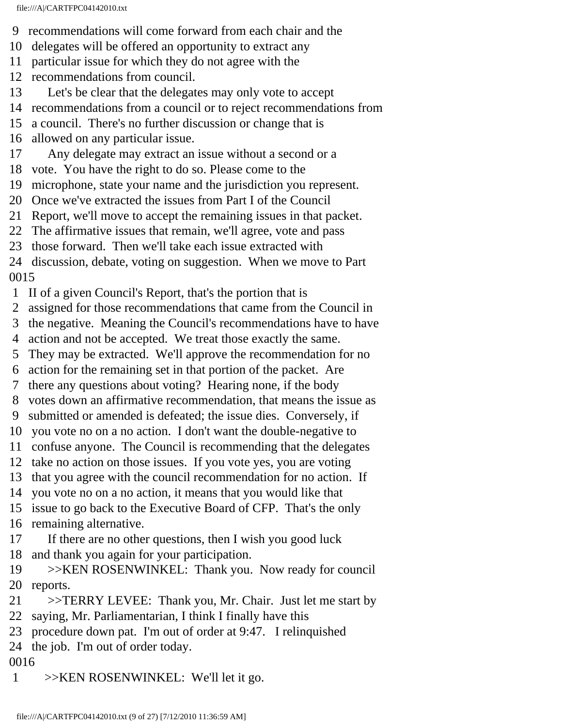- 9 recommendations will come forward from each chair and the
- 10 delegates will be offered an opportunity to extract any
- 11 particular issue for which they do not agree with the
- 12 recommendations from council.
- 13 Let's be clear that the delegates may only vote to accept
- 14 recommendations from a council or to reject recommendations from
- 15 a council. There's no further discussion or change that is
- 16 allowed on any particular issue.
- 17 Any delegate may extract an issue without a second or a
- 18 vote. You have the right to do so. Please come to the
- 19 microphone, state your name and the jurisdiction you represent.
- 20 Once we've extracted the issues from Part I of the Council
- 21 Report, we'll move to accept the remaining issues in that packet.
- 22 The affirmative issues that remain, we'll agree, vote and pass
- 23 those forward. Then we'll take each issue extracted with
- 24 discussion, debate, voting on suggestion. When we move to Part 0015
- 1 II of a given Council's Report, that's the portion that is
- 2 assigned for those recommendations that came from the Council in
- 3 the negative. Meaning the Council's recommendations have to have
- 4 action and not be accepted. We treat those exactly the same.
- 5 They may be extracted. We'll approve the recommendation for no
- 6 action for the remaining set in that portion of the packet. Are
- 7 there any questions about voting? Hearing none, if the body
- 8 votes down an affirmative recommendation, that means the issue as
- 9 submitted or amended is defeated; the issue dies. Conversely, if
- 10 you vote no on a no action. I don't want the double-negative to
- 11 confuse anyone. The Council is recommending that the delegates
- 12 take no action on those issues. If you vote yes, you are voting
- 13 that you agree with the council recommendation for no action. If
- 14 you vote no on a no action, it means that you would like that
- 15 issue to go back to the Executive Board of CFP. That's the only
- 16 remaining alternative.
- 17 If there are no other questions, then I wish you good luck 18 and thank you again for your participation.
- 19 >>KEN ROSENWINKEL: Thank you. Now ready for council 20 reports.
- 21 >>TERRY LEVEE: Thank you, Mr. Chair. Just let me start by 22 saying, Mr. Parliamentarian, I think I finally have this
- 23 procedure down pat. I'm out of order at 9:47. I relinquished
- 24 the job. I'm out of order today.
- 0016
- 1 >>KEN ROSENWINKEL: We'll let it go.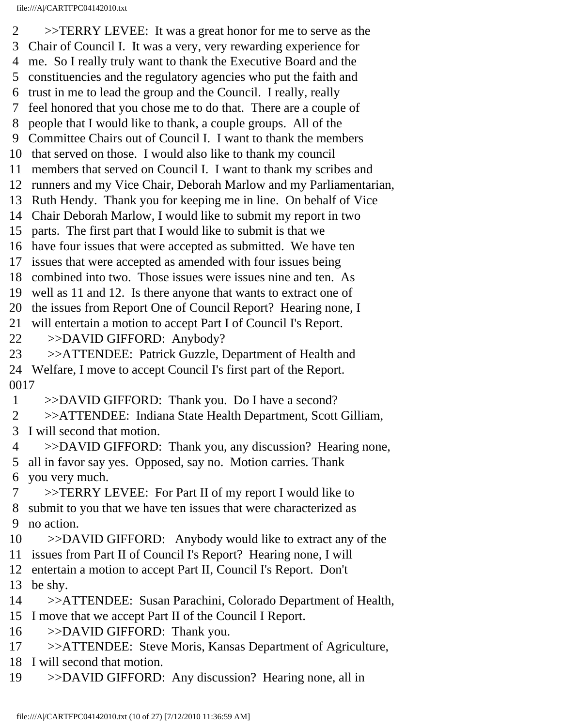2 >>TERRY LEVEE: It was a great honor for me to serve as the 3 Chair of Council I. It was a very, very rewarding experience for 4 me. So I really truly want to thank the Executive Board and the 5 constituencies and the regulatory agencies who put the faith and 6 trust in me to lead the group and the Council. I really, really 7 feel honored that you chose me to do that. There are a couple of 8 people that I would like to thank, a couple groups. All of the 9 Committee Chairs out of Council I. I want to thank the members 10 that served on those. I would also like to thank my council 11 members that served on Council I. I want to thank my scribes and 12 runners and my Vice Chair, Deborah Marlow and my Parliamentarian, 13 Ruth Hendy. Thank you for keeping me in line. On behalf of Vice 14 Chair Deborah Marlow, I would like to submit my report in two 15 parts. The first part that I would like to submit is that we 16 have four issues that were accepted as submitted. We have ten 17 issues that were accepted as amended with four issues being 18 combined into two. Those issues were issues nine and ten. As 19 well as 11 and 12. Is there anyone that wants to extract one of 20 the issues from Report One of Council Report? Hearing none, I 21 will entertain a motion to accept Part I of Council I's Report. 22 >>DAVID GIFFORD: Anybody? 23 >>ATTENDEE: Patrick Guzzle, Department of Health and 24 Welfare, I move to accept Council I's first part of the Report. 0017 1 >>DAVID GIFFORD: Thank you. Do I have a second? 2 >>ATTENDEE: Indiana State Health Department, Scott Gilliam, 3 I will second that motion. 4 >>DAVID GIFFORD: Thank you, any discussion? Hearing none, 5 all in favor say yes. Opposed, say no. Motion carries. Thank 6 you very much. 7 >>TERRY LEVEE: For Part II of my report I would like to 8 submit to you that we have ten issues that were characterized as 9 no action. 10 >>DAVID GIFFORD: Anybody would like to extract any of the 11 issues from Part II of Council I's Report? Hearing none, I will 12 entertain a motion to accept Part II, Council I's Report. Don't 13 be shy. 14 >>ATTENDEE: Susan Parachini, Colorado Department of Health, 15 I move that we accept Part II of the Council I Report. 16 >>DAVID GIFFORD: Thank you. 17 >>ATTENDEE: Steve Moris, Kansas Department of Agriculture, 18 I will second that motion. 19 >>DAVID GIFFORD: Any discussion? Hearing none, all in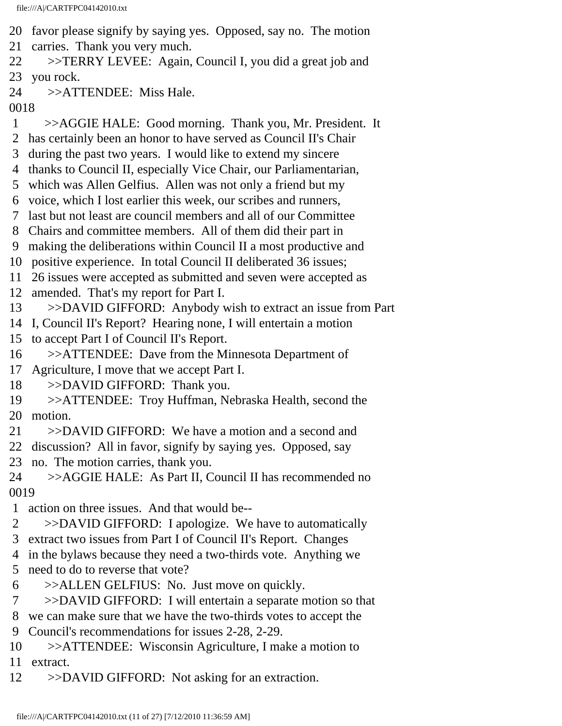- 20 favor please signify by saying yes. Opposed, say no. The motion
- 21 carries. Thank you very much.
- 22 >>TERRY LEVEE: Again, Council I, you did a great job and
- 23 you rock.
- 24 >>ATTENDEE: Miss Hale.
- 0018
- 1 >>AGGIE HALE: Good morning. Thank you, Mr. President. It
- 2 has certainly been an honor to have served as Council II's Chair
- 3 during the past two years. I would like to extend my sincere
- 4 thanks to Council II, especially Vice Chair, our Parliamentarian,
- 5 which was Allen Gelfius. Allen was not only a friend but my
- 6 voice, which I lost earlier this week, our scribes and runners,
- 7 last but not least are council members and all of our Committee
- 8 Chairs and committee members. All of them did their part in
- 9 making the deliberations within Council II a most productive and
- 10 positive experience. In total Council II deliberated 36 issues;
- 11 26 issues were accepted as submitted and seven were accepted as
- 12 amended. That's my report for Part I.
- 13 >>DAVID GIFFORD: Anybody wish to extract an issue from Part
- 14 I, Council II's Report? Hearing none, I will entertain a motion
- 15 to accept Part I of Council II's Report.
- 16 >>ATTENDEE: Dave from the Minnesota Department of
- 17 Agriculture, I move that we accept Part I.
- 18 >>DAVID GIFFORD: Thank you.
- 19 >>ATTENDEE: Troy Huffman, Nebraska Health, second the 20 motion.
- 21 >>DAVID GIFFORD: We have a motion and a second and
- 22 discussion? All in favor, signify by saying yes. Opposed, say
- 23 no. The motion carries, thank you.
- 24 >>AGGIE HALE: As Part II, Council II has recommended no 0019
- 1 action on three issues. And that would be--
- 2 >>DAVID GIFFORD: I apologize. We have to automatically
- 3 extract two issues from Part I of Council II's Report. Changes
- 4 in the bylaws because they need a two-thirds vote. Anything we
- 5 need to do to reverse that vote?
- 6 >>ALLEN GELFIUS: No. Just move on quickly.
- 7 >>DAVID GIFFORD: I will entertain a separate motion so that
- 8 we can make sure that we have the two-thirds votes to accept the
- 9 Council's recommendations for issues 2-28, 2-29.
- 10 >>ATTENDEE: Wisconsin Agriculture, I make a motion to 11 extract.
- 12 >>DAVID GIFFORD: Not asking for an extraction.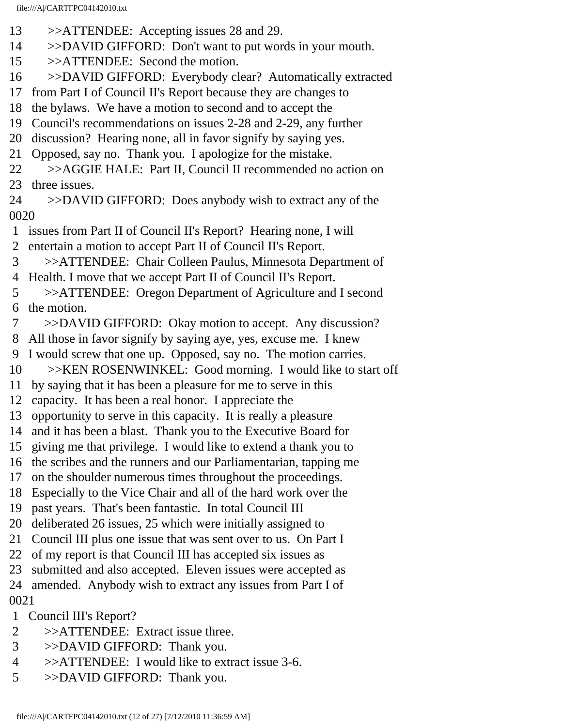- 13 >>ATTENDEE: Accepting issues 28 and 29.
- 14 >>DAVID GIFFORD: Don't want to put words in your mouth.
- 15 >>ATTENDEE: Second the motion.
- 16 >>DAVID GIFFORD: Everybody clear? Automatically extracted
- 17 from Part I of Council II's Report because they are changes to
- 18 the bylaws. We have a motion to second and to accept the
- 19 Council's recommendations on issues 2-28 and 2-29, any further
- 20 discussion? Hearing none, all in favor signify by saying yes.
- 21 Opposed, say no. Thank you. I apologize for the mistake.
- 22 >>AGGIE HALE: Part II, Council II recommended no action on
- 23 three issues.
- 24 >>DAVID GIFFORD: Does anybody wish to extract any of the 0020
- 1 issues from Part II of Council II's Report? Hearing none, I will
- 2 entertain a motion to accept Part II of Council II's Report.
- 3 >>ATTENDEE: Chair Colleen Paulus, Minnesota Department of
- 4 Health. I move that we accept Part II of Council II's Report.
- 5 >>ATTENDEE: Oregon Department of Agriculture and I second 6 the motion.
- 7 >>DAVID GIFFORD: Okay motion to accept. Any discussion?
- 8 All those in favor signify by saying aye, yes, excuse me. I knew
- 9 I would screw that one up. Opposed, say no. The motion carries.
- 10 >>KEN ROSENWINKEL: Good morning. I would like to start off
- 11 by saying that it has been a pleasure for me to serve in this
- 12 capacity. It has been a real honor. I appreciate the
- 13 opportunity to serve in this capacity. It is really a pleasure
- 14 and it has been a blast. Thank you to the Executive Board for
- 15 giving me that privilege. I would like to extend a thank you to
- 16 the scribes and the runners and our Parliamentarian, tapping me
- 17 on the shoulder numerous times throughout the proceedings.
- 18 Especially to the Vice Chair and all of the hard work over the
- 19 past years. That's been fantastic. In total Council III
- 20 deliberated 26 issues, 25 which were initially assigned to
- 21 Council III plus one issue that was sent over to us. On Part I
- 22 of my report is that Council III has accepted six issues as
- 23 submitted and also accepted. Eleven issues were accepted as
- 24 amended. Anybody wish to extract any issues from Part I of
- 0021
- 1 Council III's Report?
- 2 >>ATTENDEE: Extract issue three.
- 3 >>DAVID GIFFORD: Thank you.
- 4 >>ATTENDEE: I would like to extract issue 3-6.
- 5 >>DAVID GIFFORD: Thank you.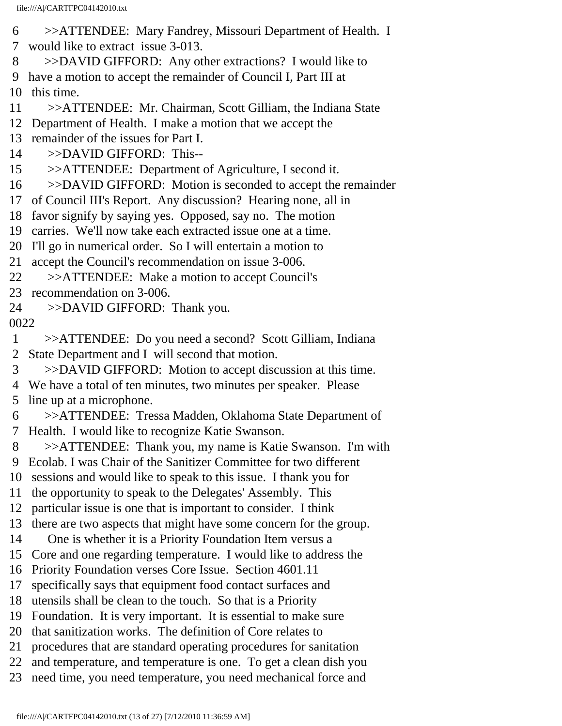- 6 >>ATTENDEE: Mary Fandrey, Missouri Department of Health. I 7 would like to extract issue 3-013.
- 8 >>DAVID GIFFORD: Any other extractions? I would like to
- 9 have a motion to accept the remainder of Council I, Part III at

10 this time.

- 11 >>ATTENDEE: Mr. Chairman, Scott Gilliam, the Indiana State
- 12 Department of Health. I make a motion that we accept the
- 13 remainder of the issues for Part I.
- 14 >>DAVID GIFFORD: This--
- 15 >>ATTENDEE: Department of Agriculture, I second it.
- 16 >>DAVID GIFFORD: Motion is seconded to accept the remainder
- 17 of Council III's Report. Any discussion? Hearing none, all in
- 18 favor signify by saying yes. Opposed, say no. The motion
- 19 carries. We'll now take each extracted issue one at a time.
- 20 I'll go in numerical order. So I will entertain a motion to
- 21 accept the Council's recommendation on issue 3-006.
- 22 >>ATTENDEE: Make a motion to accept Council's
- 23 recommendation on 3-006.
- 24 >>DAVID GIFFORD: Thank you.
- 0022
- 1 >>ATTENDEE: Do you need a second? Scott Gilliam, Indiana
- 2 State Department and I will second that motion.
- 3 >>DAVID GIFFORD: Motion to accept discussion at this time.
- 4 We have a total of ten minutes, two minutes per speaker. Please 5 line up at a microphone.
- 6 >>ATTENDEE: Tressa Madden, Oklahoma State Department of 7 Health. I would like to recognize Katie Swanson.
- 8 >>ATTENDEE: Thank you, my name is Katie Swanson. I'm with
- 9 Ecolab. I was Chair of the Sanitizer Committee for two different
- 10 sessions and would like to speak to this issue. I thank you for
- 11 the opportunity to speak to the Delegates' Assembly. This
- 12 particular issue is one that is important to consider. I think
- 13 there are two aspects that might have some concern for the group.
- 14 One is whether it is a Priority Foundation Item versus a
- 15 Core and one regarding temperature. I would like to address the
- 16 Priority Foundation verses Core Issue. Section 4601.11
- 17 specifically says that equipment food contact surfaces and
- 18 utensils shall be clean to the touch. So that is a Priority
- 19 Foundation. It is very important. It is essential to make sure
- 20 that sanitization works. The definition of Core relates to
- 21 procedures that are standard operating procedures for sanitation
- 22 and temperature, and temperature is one. To get a clean dish you
- 23 need time, you need temperature, you need mechanical force and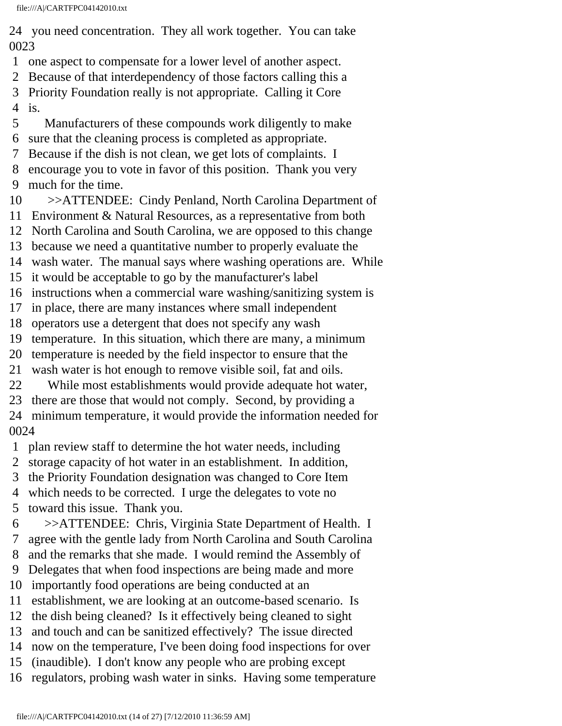24 you need concentration. They all work together. You can take 0023

- 1 one aspect to compensate for a lower level of another aspect.
- 2 Because of that interdependency of those factors calling this a
- 3 Priority Foundation really is not appropriate. Calling it Core
- 4 is.
- 5 Manufacturers of these compounds work diligently to make
- 6 sure that the cleaning process is completed as appropriate.
- 7 Because if the dish is not clean, we get lots of complaints. I
- 8 encourage you to vote in favor of this position. Thank you very 9 much for the time.
- 10 >>ATTENDEE: Cindy Penland, North Carolina Department of
- 11 Environment & Natural Resources, as a representative from both
- 12 North Carolina and South Carolina, we are opposed to this change
- 13 because we need a quantitative number to properly evaluate the
- 14 wash water. The manual says where washing operations are. While
- 15 it would be acceptable to go by the manufacturer's label
- 16 instructions when a commercial ware washing/sanitizing system is
- 17 in place, there are many instances where small independent
- 18 operators use a detergent that does not specify any wash
- 19 temperature. In this situation, which there are many, a minimum
- 20 temperature is needed by the field inspector to ensure that the
- 21 wash water is hot enough to remove visible soil, fat and oils.
- 22 While most establishments would provide adequate hot water,
- 23 there are those that would not comply. Second, by providing a
- 24 minimum temperature, it would provide the information needed for 0024
- 1 plan review staff to determine the hot water needs, including
- 2 storage capacity of hot water in an establishment. In addition,
- 3 the Priority Foundation designation was changed to Core Item
- 4 which needs to be corrected. I urge the delegates to vote no
- 5 toward this issue. Thank you.
- 6 >>ATTENDEE: Chris, Virginia State Department of Health. I
- 7 agree with the gentle lady from North Carolina and South Carolina
- 8 and the remarks that she made. I would remind the Assembly of
- 9 Delegates that when food inspections are being made and more
- 10 importantly food operations are being conducted at an
- 11 establishment, we are looking at an outcome-based scenario. Is
- 12 the dish being cleaned? Is it effectively being cleaned to sight
- 13 and touch and can be sanitized effectively? The issue directed
- 14 now on the temperature, I've been doing food inspections for over
- 15 (inaudible). I don't know any people who are probing except
- 16 regulators, probing wash water in sinks. Having some temperature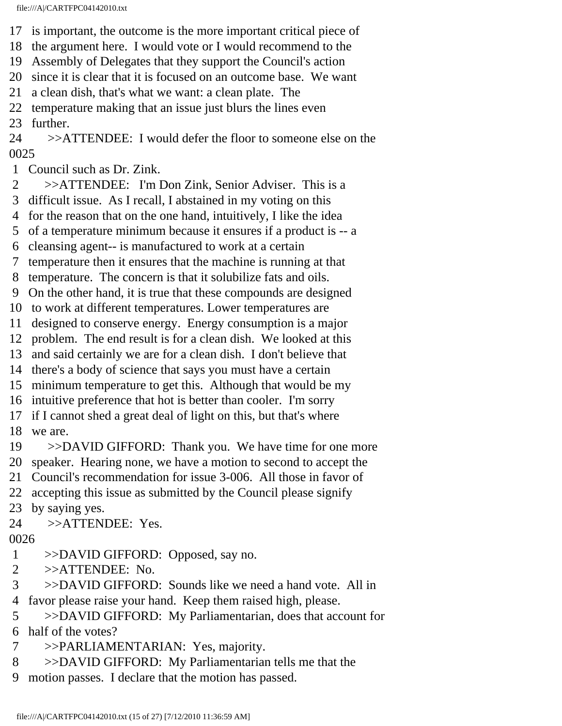- 17 is important, the outcome is the more important critical piece of
- 18 the argument here. I would vote or I would recommend to the
- 19 Assembly of Delegates that they support the Council's action
- 20 since it is clear that it is focused on an outcome base. We want
- 21 a clean dish, that's what we want: a clean plate. The
- 22 temperature making that an issue just blurs the lines even

23 further.

24 >>ATTENDEE: I would defer the floor to someone else on the 0025

- 1 Council such as Dr. Zink.
- 2 >>ATTENDEE: I'm Don Zink, Senior Adviser. This is a
- 3 difficult issue. As I recall, I abstained in my voting on this
- 4 for the reason that on the one hand, intuitively, I like the idea
- 5 of a temperature minimum because it ensures if a product is -- a
- 6 cleansing agent-- is manufactured to work at a certain
- 7 temperature then it ensures that the machine is running at that
- 8 temperature. The concern is that it solubilize fats and oils.
- 9 On the other hand, it is true that these compounds are designed
- 10 to work at different temperatures. Lower temperatures are
- 11 designed to conserve energy. Energy consumption is a major
- 12 problem. The end result is for a clean dish. We looked at this
- 13 and said certainly we are for a clean dish. I don't believe that
- 14 there's a body of science that says you must have a certain
- 15 minimum temperature to get this. Although that would be my
- 16 intuitive preference that hot is better than cooler. I'm sorry
- 17 if I cannot shed a great deal of light on this, but that's where 18 we are.
- 19 >>DAVID GIFFORD: Thank you. We have time for one more
- 20 speaker. Hearing none, we have a motion to second to accept the
- 21 Council's recommendation for issue 3-006. All those in favor of
- 22 accepting this issue as submitted by the Council please signify
- 23 by saying yes.
- 24 >>ATTENDEE: Yes.
- 0026
- 1 >>DAVID GIFFORD: Opposed, say no.
- 2 >>ATTENDEE: No.
- 3 >>DAVID GIFFORD: Sounds like we need a hand vote. All in
- 4 favor please raise your hand. Keep them raised high, please.
- 5 >>DAVID GIFFORD: My Parliamentarian, does that account for 6 half of the votes?
- 7 >>PARLIAMENTARIAN: Yes, majority.
- 8 >>DAVID GIFFORD: My Parliamentarian tells me that the
- 9 motion passes. I declare that the motion has passed.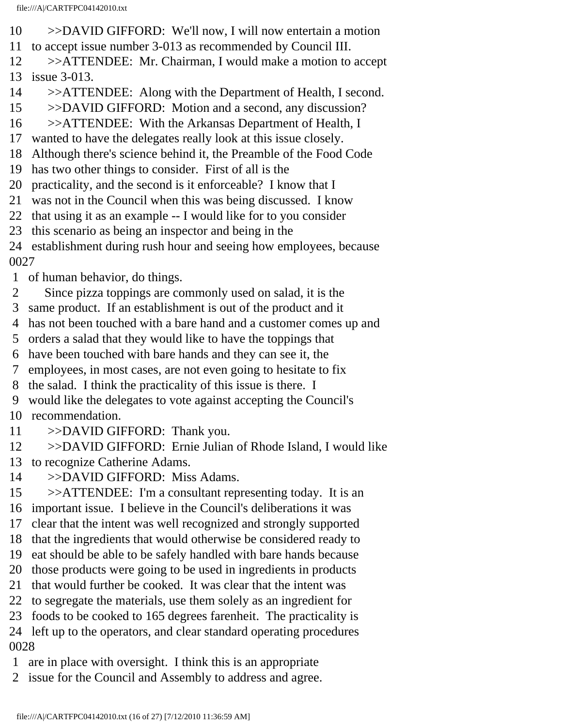- 10 >>DAVID GIFFORD: We'll now, I will now entertain a motion
- 11 to accept issue number 3-013 as recommended by Council III.
- 12 >>ATTENDEE: Mr. Chairman, I would make a motion to accept

13 issue 3-013.

- 14 >>ATTENDEE: Along with the Department of Health, I second.
- 15 >>DAVID GIFFORD: Motion and a second, any discussion?
- 16 >>ATTENDEE: With the Arkansas Department of Health, I
- 17 wanted to have the delegates really look at this issue closely.
- 18 Although there's science behind it, the Preamble of the Food Code
- 19 has two other things to consider. First of all is the
- 20 practicality, and the second is it enforceable? I know that I
- 21 was not in the Council when this was being discussed. I know
- 22 that using it as an example -- I would like for to you consider
- 23 this scenario as being an inspector and being in the
- 24 establishment during rush hour and seeing how employees, because

0027

- 1 of human behavior, do things.
- 2 Since pizza toppings are commonly used on salad, it is the
- 3 same product. If an establishment is out of the product and it
- 4 has not been touched with a bare hand and a customer comes up and
- 5 orders a salad that they would like to have the toppings that
- 6 have been touched with bare hands and they can see it, the
- 7 employees, in most cases, are not even going to hesitate to fix
- 8 the salad. I think the practicality of this issue is there. I
- 9 would like the delegates to vote against accepting the Council's
- 10 recommendation.
- 11 >>DAVID GIFFORD: Thank you.
- 12 >>DAVID GIFFORD: Ernie Julian of Rhode Island, I would like 13 to recognize Catherine Adams.
- 14 >>DAVID GIFFORD: Miss Adams.
- 15 >>ATTENDEE: I'm a consultant representing today. It is an
- 16 important issue. I believe in the Council's deliberations it was
- 17 clear that the intent was well recognized and strongly supported
- 18 that the ingredients that would otherwise be considered ready to
- 19 eat should be able to be safely handled with bare hands because
- 20 those products were going to be used in ingredients in products
- 21 that would further be cooked. It was clear that the intent was
- 22 to segregate the materials, use them solely as an ingredient for
- 23 foods to be cooked to 165 degrees farenheit. The practicality is
- 24 left up to the operators, and clear standard operating procedures

- 1 are in place with oversight. I think this is an appropriate
- 2 issue for the Council and Assembly to address and agree.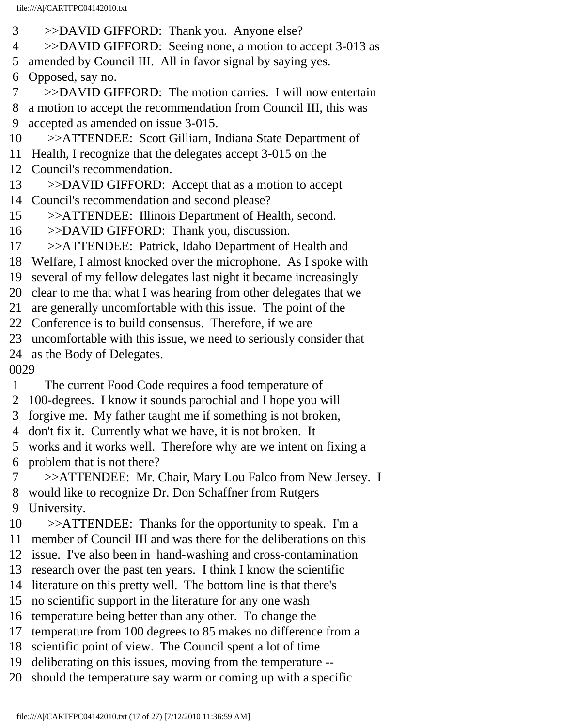- 3 >>DAVID GIFFORD: Thank you. Anyone else?
- 4 >>DAVID GIFFORD: Seeing none, a motion to accept 3-013 as
- 5 amended by Council III. All in favor signal by saying yes.
- 6 Opposed, say no.
- 7 >>DAVID GIFFORD: The motion carries. I will now entertain
- 8 a motion to accept the recommendation from Council III, this was 9 accepted as amended on issue 3-015.
- 10 >>ATTENDEE: Scott Gilliam, Indiana State Department of
- 11 Health, I recognize that the delegates accept 3-015 on the
- 12 Council's recommendation.
- 13 >>DAVID GIFFORD: Accept that as a motion to accept
- 14 Council's recommendation and second please?
- 15 >>ATTENDEE: Illinois Department of Health, second.
- 16 >>DAVID GIFFORD: Thank you, discussion.
- 17 >>ATTENDEE: Patrick, Idaho Department of Health and
- 18 Welfare, I almost knocked over the microphone. As I spoke with
- 19 several of my fellow delegates last night it became increasingly
- 20 clear to me that what I was hearing from other delegates that we
- 21 are generally uncomfortable with this issue. The point of the
- 22 Conference is to build consensus. Therefore, if we are
- 23 uncomfortable with this issue, we need to seriously consider that
- 24 as the Body of Delegates.

- 1 The current Food Code requires a food temperature of
- 2 100-degrees. I know it sounds parochial and I hope you will
- 3 forgive me. My father taught me if something is not broken,
- 4 don't fix it. Currently what we have, it is not broken. It
- 5 works and it works well. Therefore why are we intent on fixing a 6 problem that is not there?
- 7 >>ATTENDEE: Mr. Chair, Mary Lou Falco from New Jersey. I
- 8 would like to recognize Dr. Don Schaffner from Rutgers
- 9 University.
- 10 >>ATTENDEE: Thanks for the opportunity to speak. I'm a
- 11 member of Council III and was there for the deliberations on this
- 12 issue. I've also been in hand-washing and cross-contamination
- 13 research over the past ten years. I think I know the scientific 14 literature on this pretty well. The bottom line is that there's
- 15 no scientific support in the literature for any one wash
- 16 temperature being better than any other. To change the
- 17 temperature from 100 degrees to 85 makes no difference from a
- 18 scientific point of view. The Council spent a lot of time
- 19 deliberating on this issues, moving from the temperature --
- 20 should the temperature say warm or coming up with a specific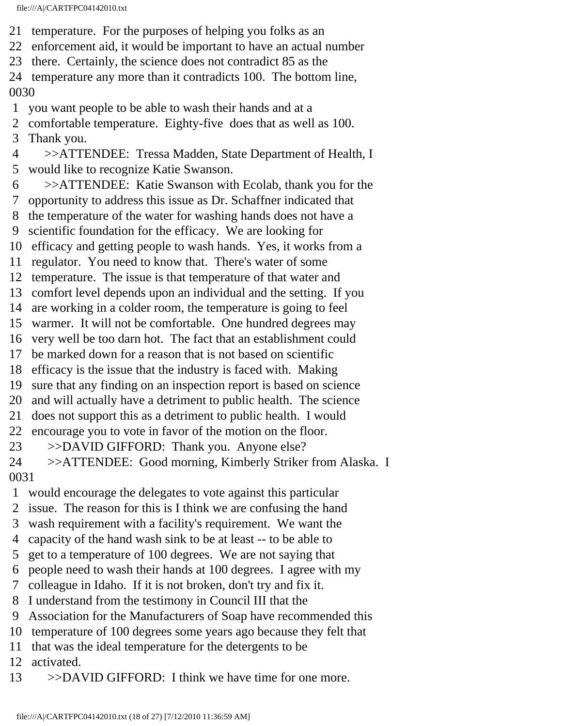- 21 temperature. For the purposes of helping you folks as an
- 22 enforcement aid, it would be important to have an actual number
- 23 there. Certainly, the science does not contradict 85 as the
- 24 temperature any more than it contradicts 100. The bottom line, 0030
- 1 you want people to be able to wash their hands and at a
- 2 comfortable temperature. Eighty-five does that as well as 100.
- 3 Thank you.
- 4 >>ATTENDEE: Tressa Madden, State Department of Health, I 5 would like to recognize Katie Swanson.
- 6 >>ATTENDEE: Katie Swanson with Ecolab, thank you for the 7 opportunity to address this issue as Dr. Schaffner indicated that 8 the temperature of the water for washing hands does not have a
- 9 scientific foundation for the efficacy. We are looking for
- 10 efficacy and getting people to wash hands. Yes, it works from a
- 11 regulator. You need to know that. There's water of some
- 12 temperature. The issue is that temperature of that water and
- 13 comfort level depends upon an individual and the setting. If you
- 14 are working in a colder room, the temperature is going to feel
- 15 warmer. It will not be comfortable. One hundred degrees may
- 16 very well be too darn hot. The fact that an establishment could
- 17 be marked down for a reason that is not based on scientific
- 18 efficacy is the issue that the industry is faced with. Making
- 19 sure that any finding on an inspection report is based on science
- 20 and will actually have a detriment to public health. The science
- 21 does not support this as a detriment to public health. I would
- 22 encourage you to vote in favor of the motion on the floor.
- 23 >>DAVID GIFFORD: Thank you. Anyone else?
- 24 >>ATTENDEE: Good morning, Kimberly Striker from Alaska. I 0031
- 1 would encourage the delegates to vote against this particular
- 2 issue. The reason for this is I think we are confusing the hand
- 3 wash requirement with a facility's requirement. We want the
- 4 capacity of the hand wash sink to be at least -- to be able to
- 5 get to a temperature of 100 degrees. We are not saying that
- 6 people need to wash their hands at 100 degrees. I agree with my
- 7 colleague in Idaho. If it is not broken, don't try and fix it.
- 8 I understand from the testimony in Council III that the
- 9 Association for the Manufacturers of Soap have recommended this
- 10 temperature of 100 degrees some years ago because they felt that
- 11 that was the ideal temperature for the detergents to be
- 12 activated.
- 13 >>DAVID GIFFORD: I think we have time for one more.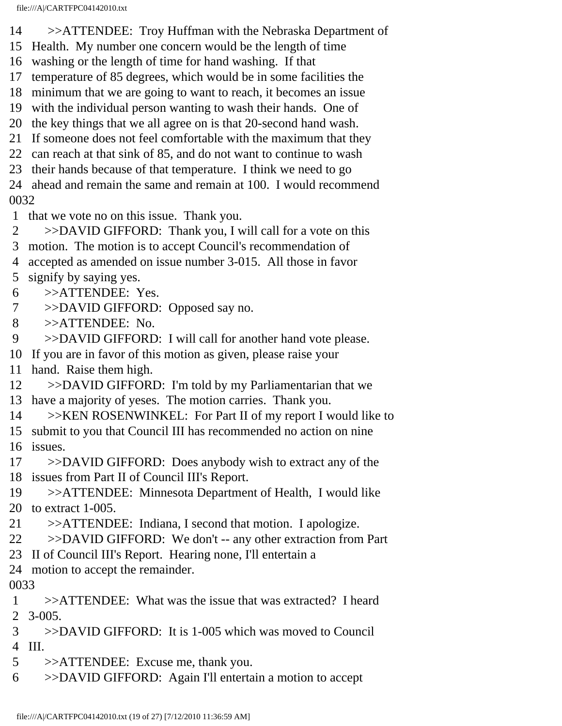- 14 >>ATTENDEE: Troy Huffman with the Nebraska Department of
- 15 Health. My number one concern would be the length of time
- 16 washing or the length of time for hand washing. If that
- 17 temperature of 85 degrees, which would be in some facilities the
- 18 minimum that we are going to want to reach, it becomes an issue
- 19 with the individual person wanting to wash their hands. One of
- 20 the key things that we all agree on is that 20-second hand wash.
- 21 If someone does not feel comfortable with the maximum that they
- 22 can reach at that sink of 85, and do not want to continue to wash
- 23 their hands because of that temperature. I think we need to go
- 24 ahead and remain the same and remain at 100. I would recommend 0032
- 1 that we vote no on this issue. Thank you.
- 2 >>DAVID GIFFORD: Thank you, I will call for a vote on this
- 3 motion. The motion is to accept Council's recommendation of
- 4 accepted as amended on issue number 3-015. All those in favor
- 5 signify by saying yes.
- 6 >>ATTENDEE: Yes.
- 7 >>DAVID GIFFORD: Opposed say no.
- 8 >>ATTENDEE: No.
- 9 >>DAVID GIFFORD: I will call for another hand vote please.
- 10 If you are in favor of this motion as given, please raise your
- 11 hand. Raise them high.
- 12 >>DAVID GIFFORD: I'm told by my Parliamentarian that we
- 13 have a majority of yeses. The motion carries. Thank you.
- 14 >>KEN ROSENWINKEL: For Part II of my report I would like to
- 15 submit to you that Council III has recommended no action on nine
- 16 issues.
- 17 >>DAVID GIFFORD: Does anybody wish to extract any of the 18 issues from Part II of Council III's Report.
- 19 >>ATTENDEE: Minnesota Department of Health, I would like 20 to extract 1-005.
- 21 >>ATTENDEE: Indiana, I second that motion. I apologize.
- 22 >>DAVID GIFFORD: We don't -- any other extraction from Part
- 23 II of Council III's Report. Hearing none, I'll entertain a
- 24 motion to accept the remainder.

- 1 >>ATTENDEE: What was the issue that was extracted? I heard 2 3-005.
- 3 >>DAVID GIFFORD: It is 1-005 which was moved to Council
- 4 III.
- 5 >>ATTENDEE: Excuse me, thank you.
- 6 >>DAVID GIFFORD: Again I'll entertain a motion to accept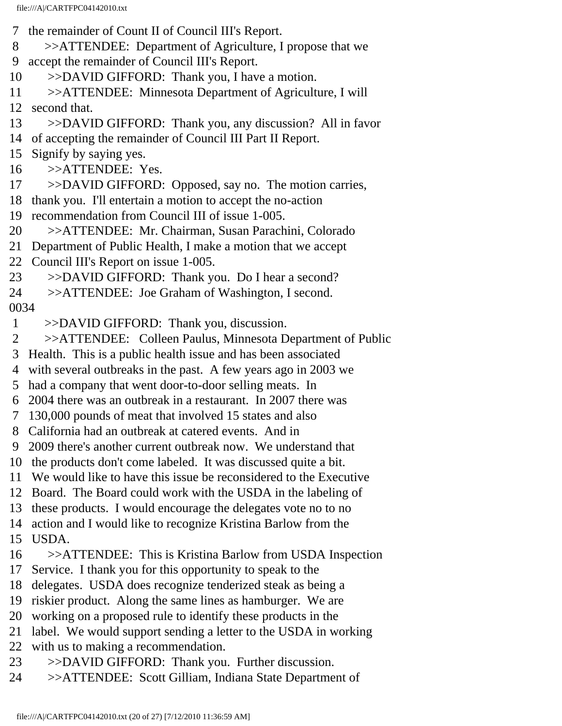- 7 the remainder of Count II of Council III's Report.
- 8 >>ATTENDEE: Department of Agriculture, I propose that we
- 9 accept the remainder of Council III's Report.
- 10 >>DAVID GIFFORD: Thank you, I have a motion.
- 11 >>ATTENDEE: Minnesota Department of Agriculture, I will
- 12 second that.
- 13 >>DAVID GIFFORD: Thank you, any discussion? All in favor
- 14 of accepting the remainder of Council III Part II Report.
- 15 Signify by saying yes.
- 16 >>ATTENDEE: Yes.
- 17 >>DAVID GIFFORD: Opposed, say no. The motion carries,
- 18 thank you. I'll entertain a motion to accept the no-action
- 19 recommendation from Council III of issue 1-005.
- 20 >>ATTENDEE: Mr. Chairman, Susan Parachini, Colorado
- 21 Department of Public Health, I make a motion that we accept
- 22 Council III's Report on issue 1-005.
- 23 >>DAVID GIFFORD: Thank you. Do I hear a second?
- 24 >>ATTENDEE: Joe Graham of Washington, I second.
- 0034
- 1 >>DAVID GIFFORD: Thank you, discussion.
- 2 >>ATTENDEE: Colleen Paulus, Minnesota Department of Public
- 3 Health. This is a public health issue and has been associated
- 4 with several outbreaks in the past. A few years ago in 2003 we
- 5 had a company that went door-to-door selling meats. In
- 6 2004 there was an outbreak in a restaurant. In 2007 there was
- 7 130,000 pounds of meat that involved 15 states and also
- 8 California had an outbreak at catered events. And in
- 9 2009 there's another current outbreak now. We understand that
- 10 the products don't come labeled. It was discussed quite a bit.
- 11 We would like to have this issue be reconsidered to the Executive
- 12 Board. The Board could work with the USDA in the labeling of
- 13 these products. I would encourage the delegates vote no to no
- 14 action and I would like to recognize Kristina Barlow from the
- 15 USDA.
- 16 >>ATTENDEE: This is Kristina Barlow from USDA Inspection
- 17 Service. I thank you for this opportunity to speak to the
- 18 delegates. USDA does recognize tenderized steak as being a
- 19 riskier product. Along the same lines as hamburger. We are
- 20 working on a proposed rule to identify these products in the
- 21 label. We would support sending a letter to the USDA in working
- 22 with us to making a recommendation.
- 23 >>DAVID GIFFORD: Thank you. Further discussion.
- 24 >>ATTENDEE: Scott Gilliam, Indiana State Department of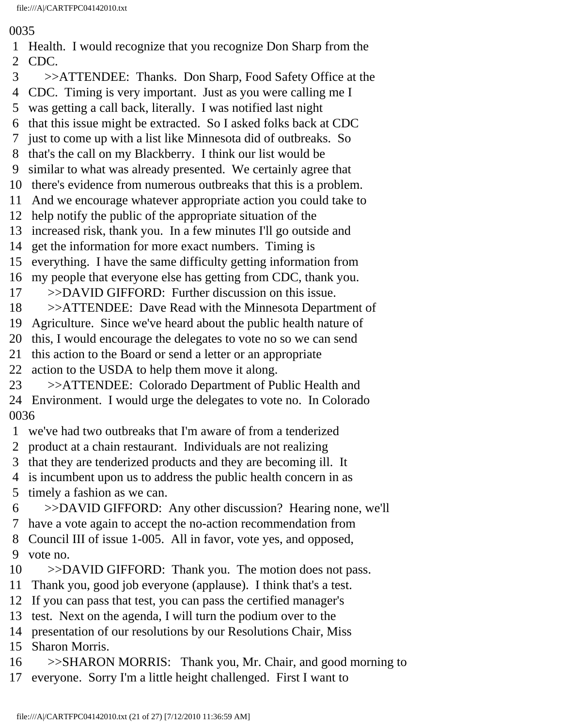- 1 Health. I would recognize that you recognize Don Sharp from the 2 CDC.
- 3 >>ATTENDEE: Thanks. Don Sharp, Food Safety Office at the
- 4 CDC. Timing is very important. Just as you were calling me I
- 5 was getting a call back, literally. I was notified last night
- 6 that this issue might be extracted. So I asked folks back at CDC
- 7 just to come up with a list like Minnesota did of outbreaks. So
- 8 that's the call on my Blackberry. I think our list would be
- 9 similar to what was already presented. We certainly agree that
- 10 there's evidence from numerous outbreaks that this is a problem.
- 11 And we encourage whatever appropriate action you could take to
- 12 help notify the public of the appropriate situation of the
- 13 increased risk, thank you. In a few minutes I'll go outside and
- 14 get the information for more exact numbers. Timing is
- 15 everything. I have the same difficulty getting information from
- 16 my people that everyone else has getting from CDC, thank you.
- 17 >>DAVID GIFFORD: Further discussion on this issue.
- 18 >>ATTENDEE: Dave Read with the Minnesota Department of
- 19 Agriculture. Since we've heard about the public health nature of
- 20 this, I would encourage the delegates to vote no so we can send
- 21 this action to the Board or send a letter or an appropriate
- 22 action to the USDA to help them move it along.
- 23 >>ATTENDEE: Colorado Department of Public Health and 24 Environment. I would urge the delegates to vote no. In Colorado 0036
- 1 we've had two outbreaks that I'm aware of from a tenderized
- 2 product at a chain restaurant. Individuals are not realizing
- 3 that they are tenderized products and they are becoming ill. It
- 4 is incumbent upon us to address the public health concern in as
- 5 timely a fashion as we can.
- 6 >>DAVID GIFFORD: Any other discussion? Hearing none, we'll
- 7 have a vote again to accept the no-action recommendation from
- 8 Council III of issue 1-005. All in favor, vote yes, and opposed,
- 9 vote no.
- 10 >>DAVID GIFFORD: Thank you. The motion does not pass.
- 11 Thank you, good job everyone (applause). I think that's a test.
- 12 If you can pass that test, you can pass the certified manager's
- 13 test. Next on the agenda, I will turn the podium over to the
- 14 presentation of our resolutions by our Resolutions Chair, Miss
- 15 Sharon Morris.
- 16 >>SHARON MORRIS: Thank you, Mr. Chair, and good morning to
- 17 everyone. Sorry I'm a little height challenged. First I want to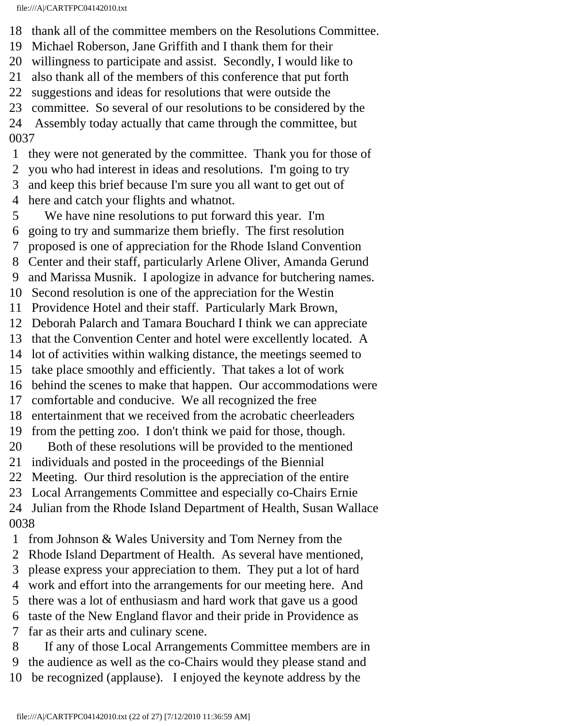- 18 thank all of the committee members on the Resolutions Committee.
- 19 Michael Roberson, Jane Griffith and I thank them for their
- 20 willingness to participate and assist. Secondly, I would like to
- 21 also thank all of the members of this conference that put forth
- 22 suggestions and ideas for resolutions that were outside the
- 23 committee. So several of our resolutions to be considered by the
- 24 Assembly today actually that came through the committee, but 0037
- 1 they were not generated by the committee. Thank you for those of
- 2 you who had interest in ideas and resolutions. I'm going to try
- 3 and keep this brief because I'm sure you all want to get out of
- 4 here and catch your flights and whatnot.
- 5 We have nine resolutions to put forward this year. I'm
- 6 going to try and summarize them briefly. The first resolution
- 7 proposed is one of appreciation for the Rhode Island Convention
- 8 Center and their staff, particularly Arlene Oliver, Amanda Gerund
- 9 and Marissa Musnik. I apologize in advance for butchering names.
- 10 Second resolution is one of the appreciation for the Westin
- 11 Providence Hotel and their staff. Particularly Mark Brown,
- 12 Deborah Palarch and Tamara Bouchard I think we can appreciate
- 13 that the Convention Center and hotel were excellently located. A
- 14 lot of activities within walking distance, the meetings seemed to
- 15 take place smoothly and efficiently. That takes a lot of work
- 16 behind the scenes to make that happen. Our accommodations were
- 17 comfortable and conducive. We all recognized the free
- 18 entertainment that we received from the acrobatic cheerleaders
- 19 from the petting zoo. I don't think we paid for those, though.
- 20 Both of these resolutions will be provided to the mentioned
- 21 individuals and posted in the proceedings of the Biennial
- 22 Meeting. Our third resolution is the appreciation of the entire
- 23 Local Arrangements Committee and especially co-Chairs Ernie
- 24 Julian from the Rhode Island Department of Health, Susan Wallace 0038
- 1 from Johnson & Wales University and Tom Nerney from the
- 2 Rhode Island Department of Health. As several have mentioned,
- 3 please express your appreciation to them. They put a lot of hard
- 4 work and effort into the arrangements for our meeting here. And
- 5 there was a lot of enthusiasm and hard work that gave us a good
- 6 taste of the New England flavor and their pride in Providence as
- 7 far as their arts and culinary scene.
- 8 If any of those Local Arrangements Committee members are in 9 the audience as well as the co-Chairs would they please stand and
- 10 be recognized (applause). I enjoyed the keynote address by the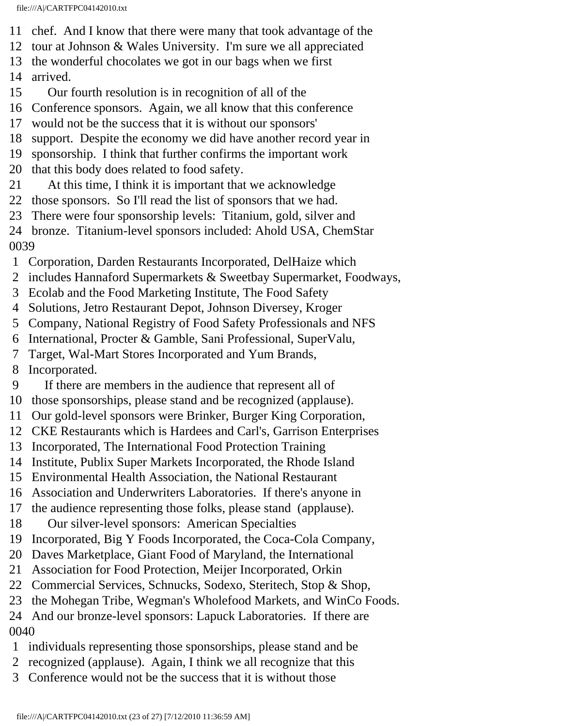- 11 chef. And I know that there were many that took advantage of the
- 12 tour at Johnson & Wales University. I'm sure we all appreciated
- 13 the wonderful chocolates we got in our bags when we first
- 14 arrived.
- 15 Our fourth resolution is in recognition of all of the
- 16 Conference sponsors. Again, we all know that this conference
- 17 would not be the success that it is without our sponsors'
- 18 support. Despite the economy we did have another record year in
- 19 sponsorship. I think that further confirms the important work
- 20 that this body does related to food safety.
- 21 At this time, I think it is important that we acknowledge
- 22 those sponsors. So I'll read the list of sponsors that we had.
- 23 There were four sponsorship levels: Titanium, gold, silver and
- 24 bronze. Titanium-level sponsors included: Ahold USA, ChemStar 0039
- 1 Corporation, Darden Restaurants Incorporated, DelHaize which
- 2 includes Hannaford Supermarkets & Sweetbay Supermarket, Foodways,
- 3 Ecolab and the Food Marketing Institute, The Food Safety
- 4 Solutions, Jetro Restaurant Depot, Johnson Diversey, Kroger
- 5 Company, National Registry of Food Safety Professionals and NFS
- 6 International, Procter & Gamble, Sani Professional, SuperValu,
- 7 Target, Wal-Mart Stores Incorporated and Yum Brands,
- 8 Incorporated.
- 9 If there are members in the audience that represent all of
- 10 those sponsorships, please stand and be recognized (applause).
- 11 Our gold-level sponsors were Brinker, Burger King Corporation,
- 12 CKE Restaurants which is Hardees and Carl's, Garrison Enterprises
- 13 Incorporated, The International Food Protection Training
- 14 Institute, Publix Super Markets Incorporated, the Rhode Island
- 15 Environmental Health Association, the National Restaurant
- 16 Association and Underwriters Laboratories. If there's anyone in
- 17 the audience representing those folks, please stand (applause).
- 18 Our silver-level sponsors: American Specialties
- 19 Incorporated, Big Y Foods Incorporated, the Coca-Cola Company,
- 20 Daves Marketplace, Giant Food of Maryland, the International
- 21 Association for Food Protection, Meijer Incorporated, Orkin
- 22 Commercial Services, Schnucks, Sodexo, Steritech, Stop & Shop,
- 23 the Mohegan Tribe, Wegman's Wholefood Markets, and WinCo Foods.
- 24 And our bronze-level sponsors: Lapuck Laboratories. If there are 0040
- 1 individuals representing those sponsorships, please stand and be
- 2 recognized (applause). Again, I think we all recognize that this
- 3 Conference would not be the success that it is without those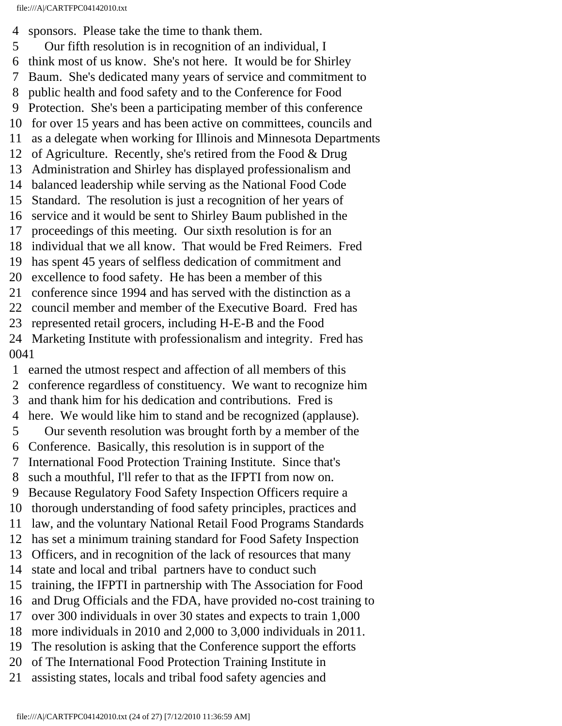4 sponsors. Please take the time to thank them.

 5 Our fifth resolution is in recognition of an individual, I 6 think most of us know. She's not here. It would be for Shirley 7 Baum. She's dedicated many years of service and commitment to 8 public health and food safety and to the Conference for Food 9 Protection. She's been a participating member of this conference 10 for over 15 years and has been active on committees, councils and 11 as a delegate when working for Illinois and Minnesota Departments 12 of Agriculture. Recently, she's retired from the Food & Drug 13 Administration and Shirley has displayed professionalism and 14 balanced leadership while serving as the National Food Code 15 Standard. The resolution is just a recognition of her years of 16 service and it would be sent to Shirley Baum published in the 17 proceedings of this meeting. Our sixth resolution is for an 18 individual that we all know. That would be Fred Reimers. Fred 19 has spent 45 years of selfless dedication of commitment and 20 excellence to food safety. He has been a member of this 21 conference since 1994 and has served with the distinction as a 22 council member and member of the Executive Board. Fred has 23 represented retail grocers, including H-E-B and the Food 24 Marketing Institute with professionalism and integrity. Fred has 0041

 1 earned the utmost respect and affection of all members of this 2 conference regardless of constituency. We want to recognize him 3 and thank him for his dedication and contributions. Fred is 4 here. We would like him to stand and be recognized (applause). 5 Our seventh resolution was brought forth by a member of the 6 Conference. Basically, this resolution is in support of the 7 International Food Protection Training Institute. Since that's 8 such a mouthful, I'll refer to that as the IFPTI from now on. 9 Because Regulatory Food Safety Inspection Officers require a 10 thorough understanding of food safety principles, practices and 11 law, and the voluntary National Retail Food Programs Standards 12 has set a minimum training standard for Food Safety Inspection 13 Officers, and in recognition of the lack of resources that many 14 state and local and tribal partners have to conduct such 15 training, the IFPTI in partnership with The Association for Food 16 and Drug Officials and the FDA, have provided no-cost training to 17 over 300 individuals in over 30 states and expects to train 1,000 18 more individuals in 2010 and 2,000 to 3,000 individuals in 2011. 19 The resolution is asking that the Conference support the efforts 20 of The International Food Protection Training Institute in 21 assisting states, locals and tribal food safety agencies and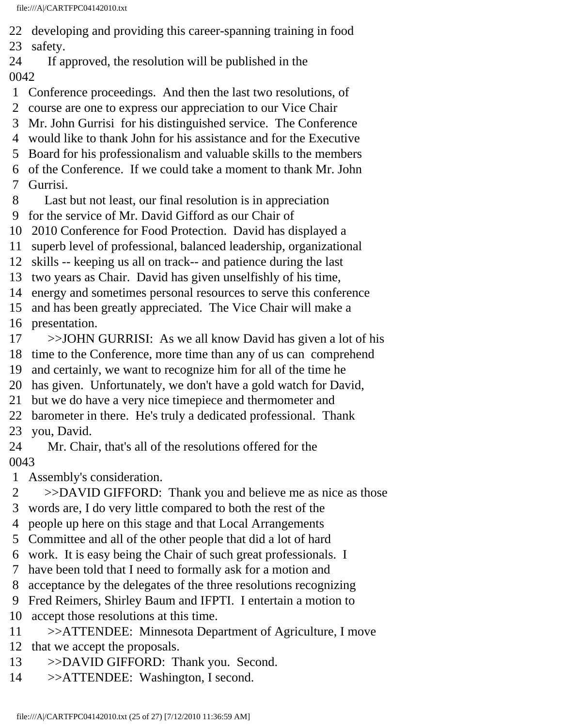22 developing and providing this career-spanning training in food

23 safety.

- 24 If approved, the resolution will be published in the 0042
- 1 Conference proceedings. And then the last two resolutions, of
- 2 course are one to express our appreciation to our Vice Chair
- 3 Mr. John Gurrisi for his distinguished service. The Conference
- 4 would like to thank John for his assistance and for the Executive
- 5 Board for his professionalism and valuable skills to the members
- 6 of the Conference. If we could take a moment to thank Mr. John
- 7 Gurrisi.
- 8 Last but not least, our final resolution is in appreciation
- 9 for the service of Mr. David Gifford as our Chair of
- 10 2010 Conference for Food Protection. David has displayed a
- 11 superb level of professional, balanced leadership, organizational
- 12 skills -- keeping us all on track-- and patience during the last
- 13 two years as Chair. David has given unselfishly of his time,
- 14 energy and sometimes personal resources to serve this conference
- 15 and has been greatly appreciated. The Vice Chair will make a
- 16 presentation.
- 17 >>JOHN GURRISI: As we all know David has given a lot of his
- 18 time to the Conference, more time than any of us can comprehend
- 19 and certainly, we want to recognize him for all of the time he
- 20 has given. Unfortunately, we don't have a gold watch for David,
- 21 but we do have a very nice timepiece and thermometer and
- 22 barometer in there. He's truly a dedicated professional. Thank
- 23 you, David.
- 24 Mr. Chair, that's all of the resolutions offered for the

- 1 Assembly's consideration.
- 2 >>DAVID GIFFORD: Thank you and believe me as nice as those
- 3 words are, I do very little compared to both the rest of the
- 4 people up here on this stage and that Local Arrangements
- 5 Committee and all of the other people that did a lot of hard
- 6 work. It is easy being the Chair of such great professionals. I
- 7 have been told that I need to formally ask for a motion and
- 8 acceptance by the delegates of the three resolutions recognizing
- 9 Fred Reimers, Shirley Baum and IFPTI. I entertain a motion to
- 10 accept those resolutions at this time.
- 11 >>ATTENDEE: Minnesota Department of Agriculture, I move
- 12 that we accept the proposals.
- 13 >>DAVID GIFFORD: Thank you. Second.
- 14 >>ATTENDEE: Washington, I second.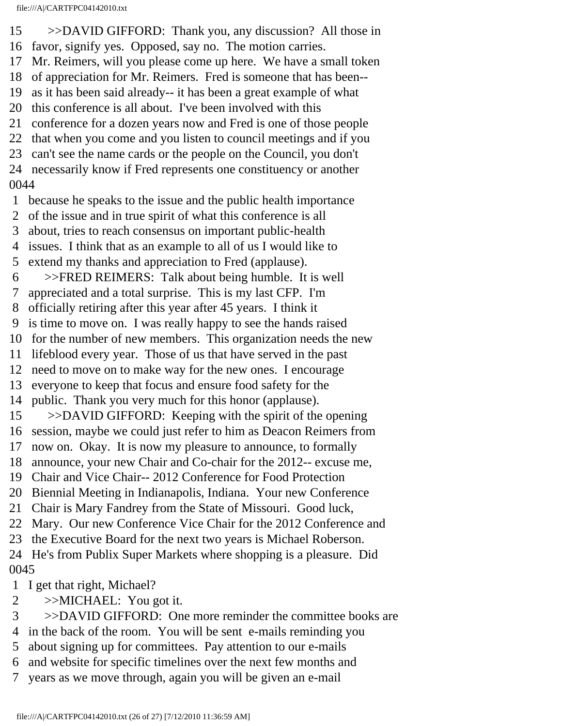15 >>DAVID GIFFORD: Thank you, any discussion? All those in 16 favor, signify yes. Opposed, say no. The motion carries.

- 17 Mr. Reimers, will you please come up here. We have a small token
- 18 of appreciation for Mr. Reimers. Fred is someone that has been--
- 19 as it has been said already-- it has been a great example of what
- 20 this conference is all about. I've been involved with this
- 21 conference for a dozen years now and Fred is one of those people
- 22 that when you come and you listen to council meetings and if you
- 23 can't see the name cards or the people on the Council, you don't
- 24 necessarily know if Fred represents one constituency or another

- 1 because he speaks to the issue and the public health importance
- 2 of the issue and in true spirit of what this conference is all
- 3 about, tries to reach consensus on important public-health
- 4 issues. I think that as an example to all of us I would like to
- 5 extend my thanks and appreciation to Fred (applause).
- 6 >>FRED REIMERS: Talk about being humble. It is well
- 7 appreciated and a total surprise. This is my last CFP. I'm
- 8 officially retiring after this year after 45 years. I think it
- 9 is time to move on. I was really happy to see the hands raised
- 10 for the number of new members. This organization needs the new
- 11 lifeblood every year. Those of us that have served in the past
- 12 need to move on to make way for the new ones. I encourage
- 13 everyone to keep that focus and ensure food safety for the
- 14 public. Thank you very much for this honor (applause).
- 15 >>DAVID GIFFORD: Keeping with the spirit of the opening
- 16 session, maybe we could just refer to him as Deacon Reimers from
- 17 now on. Okay. It is now my pleasure to announce, to formally
- 18 announce, your new Chair and Co-chair for the 2012-- excuse me,
- 19 Chair and Vice Chair-- 2012 Conference for Food Protection
- 20 Biennial Meeting in Indianapolis, Indiana. Your new Conference
- 21 Chair is Mary Fandrey from the State of Missouri. Good luck,
- 22 Mary. Our new Conference Vice Chair for the 2012 Conference and
- 23 the Executive Board for the next two years is Michael Roberson.
- 24 He's from Publix Super Markets where shopping is a pleasure. Did 0045
- 1 I get that right, Michael?
- 2 >>MICHAEL: You got it.
- 3 >>DAVID GIFFORD: One more reminder the committee books are
- 4 in the back of the room. You will be sent e-mails reminding you
- 5 about signing up for committees. Pay attention to our e-mails
- 6 and website for specific timelines over the next few months and
- 7 years as we move through, again you will be given an e-mail